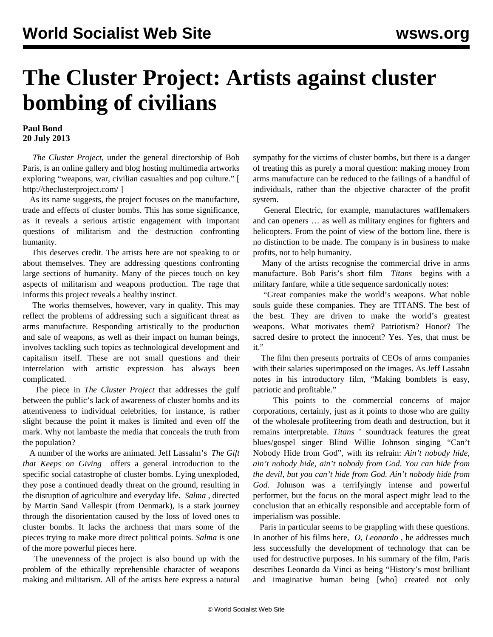## **The Cluster Project: Artists against cluster bombing of civilians**

## **Paul Bond 20 July 2013**

 *The Cluster Project*, under the general directorship of Bob Paris, is an online gallery and blog hosting multimedia artworks exploring "weapons, war, civilian casualties and pop culture." [ <http://theclusterproject.com/> ]

 As its name suggests, the project focuses on the manufacture, trade and effects of cluster bombs. This has some significance, as it reveals a serious artistic engagement with important questions of militarism and the destruction confronting humanity.

 This deserves credit. The artists here are not speaking to or about themselves. They are addressing questions confronting large sections of humanity. Many of the pieces touch on key aspects of militarism and weapons production. The rage that informs this project reveals a healthy instinct.

 The works themselves, however, vary in quality. This may reflect the problems of addressing such a significant threat as arms manufacture. Responding artistically to the production and sale of weapons, as well as their impact on human beings, involves tackling such topics as technological development and capitalism itself. These are not small questions and their interrelation with artistic expression has always been complicated.

 The piece in *The Cluster Project* that addresses the gulf between the public's lack of awareness of cluster bombs and its attentiveness to [individual celebrities,](http://theclusterproject.com/bombs/celebrity-cluster-index/) for instance, is rather slight because the point it makes is limited and even off the mark. Why not lambaste the media that conceals the truth from the population?

 A number of the works are animated. Jeff Lassahn's *[The Gift](http://theclusterproject.com/bombs/the-gift-that-keeps-giving/) [that Keeps on Giving](http://theclusterproject.com/bombs/the-gift-that-keeps-giving/)*offers a general introduction to the specific social catastrophe of cluster bombs. Lying unexploded, they pose a continued deadly threat on the ground, resulting in the disruption of agriculture and everyday life. *[Salma](http://theclusterproject.com/bombs/salma/)* [,](http://theclusterproject.com/bombs/salma/) directed by Martin Sand Vallespir (from Denmark), is a stark journey through the disorientation caused by the loss of loved ones to cluster bombs. It lacks the archness that mars some of the pieces trying to make more direct political points. *Salma* is one of the more powerful pieces here.

 The unevenness of the project is also bound up with the problem of the ethically reprehensible character of weapons making and militarism. All of the artists here express a natural sympathy for the victims of cluster bombs, but there is a danger of treating this as purely a moral question: making money from arms manufacture can be reduced to the failings of a handful of individuals, rather than the objective character of the profit system.

 General Electric, for example, manufactures wafflemakers and can openers … as well as military engines for fighters and helicopters. From the point of view of the bottom line, there is no distinction to be made. The company is in business to make profits, not to help humanity.

 Many of the artists recognise the commercial drive in arms manufacture. Bob Paris's short film *[Titans](http://theclusterproject.com/bombs/titans/)* begins with a military fanfare, while a title sequence sardonically notes:

 "Great companies make the world's weapons. What noble souls guide these companies. They are TITANS. The best of the best. They are driven to make the world's greatest weapons. What motivates them? Patriotism? Honor? The sacred desire to protect the innocent? Yes. Yes, that must be it."

 The film then presents portraits of CEOs of arms companies with their salaries superimposed on the images. As Jeff Lassahn notes in his introductory film, "Making bomblets is easy, patriotic and profitable."

 This points to the commercial concerns of major corporations, certainly, just as it points to those who are guilty of the wholesale profiteering from death and destruction, but it remains interpretable. *Titans* ' soundtrack features the great blues/gospel singer Blind Willie Johnson singing "Can't Nobody Hide from God", with its refrain: *Ain't nobody hide, ain't nobody hide, ain't nobody from God. You can hide from the devil, but you can't hide from God. Ain't nobody hide from God.* Johnson was a terrifyingly intense and powerful performer, but the focus on the moral aspect might lead to the conclusion that an ethically responsible and acceptable form of imperialism was possible.

 Paris in particular seems to be grappling with these questions. In another of his films here, *[O, Leonardo](http://theclusterproject.com/bombs/o-leonardo/)* [,](http://theclusterproject.com/bombs/o-leonardo/) he addresses much less successfully the development of technology that can be used for destructive purposes. In his summary of the film, Paris describes Leonardo da Vinci as being "History's most brilliant and imaginative human being [who] created not only